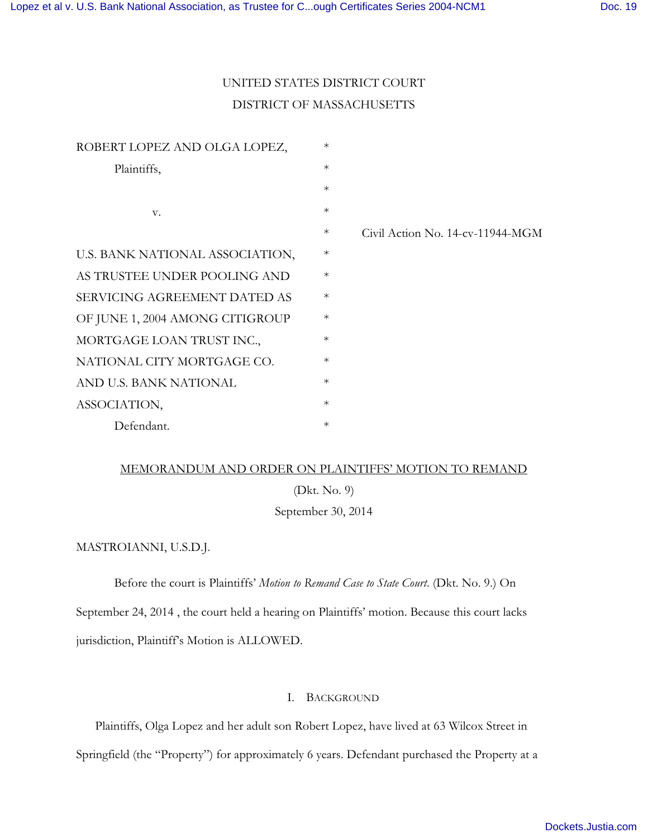# UNITED STATES DISTRICT COURT DISTRICT OF MASSACHUSETTS

| ROBERT LOPEZ AND OLGA LOPEZ,    | $\ast$    |                                     |
|---------------------------------|-----------|-------------------------------------|
| Plaintiffs,                     | $\ast$    |                                     |
|                                 | $\ast$    |                                     |
| V.                              | $\ast$    |                                     |
|                                 | $\ast$    | Civil Action No. $14$ -cv-11944-MGM |
| U.S. BANK NATIONAL ASSOCIATION, | $\ast$    |                                     |
| AS TRUSTEE UNDER POOLING AND    | $\ast$    |                                     |
| SERVICING AGREEMENT DATED AS    | $\ast$    |                                     |
| OF JUNE 1, 2004 AMONG CITIGROUP | $\ast$    |                                     |
| MORTGAGE LOAN TRUST INC.,       | $\ast$    |                                     |
| NATIONAL CITY MORTGAGE CO.      | $\ast$    |                                     |
| AND U.S. BANK NATIONAL          | $\ast$    |                                     |
| ASSOCIATION,                    | $\ast$    |                                     |
| Defendant.                      | $^{\ast}$ |                                     |

## MEMORANDUM AND ORDER ON PLAINTIFFS' MOTION TO REMAND

(Dkt. No. 9)

September 30, 2014

MASTROIANNI, U.S.D.J.

Before the court is Plaintiffs' *Motion to Remand Case to State Court*. (Dkt. No. 9.) On

September 24, 2014 , the court held a hearing on Plaintiffs' motion. Because this court lacks jurisdiction, Plaintiff's Motion is ALLOWED.

# I. BACKGROUND

Plaintiffs, Olga Lopez and her adult son Robert Lopez, have lived at 63 Wilcox Street in

Springfield (the "Property") for approximately 6 years. Defendant purchased the Property at a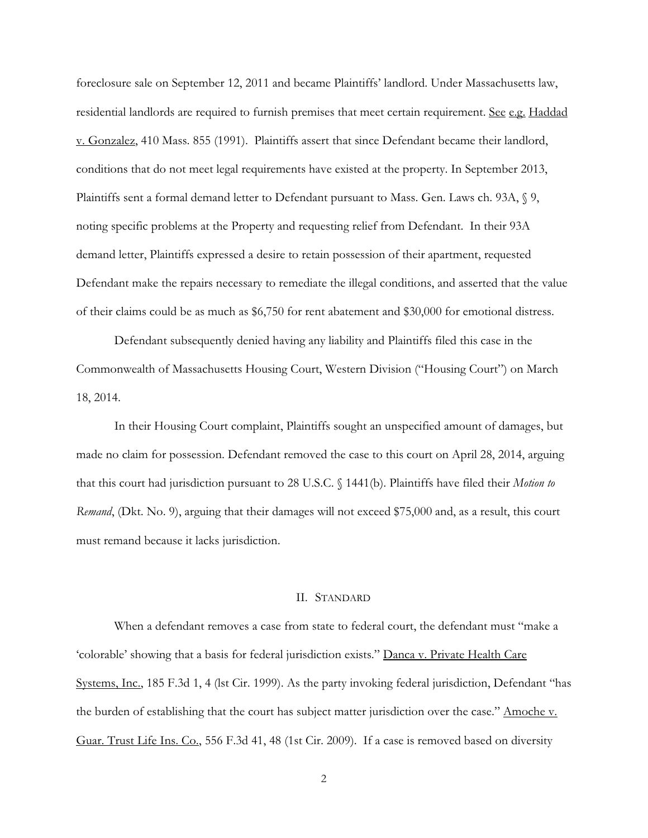foreclosure sale on September 12, 2011 and became Plaintiffs' landlord. Under Massachusetts law, residential landlords are required to furnish premises that meet certain requirement. See e.g. Haddad v. Gonzalez, 410 Mass. 855 (1991). Plaintiffs assert that since Defendant became their landlord, conditions that do not meet legal requirements have existed at the property. In September 2013, Plaintiffs sent a formal demand letter to Defendant pursuant to Mass. Gen. Laws ch. 93A, § 9, noting specific problems at the Property and requesting relief from Defendant. In their 93A demand letter, Plaintiffs expressed a desire to retain possession of their apartment, requested Defendant make the repairs necessary to remediate the illegal conditions, and asserted that the value of their claims could be as much as \$6,750 for rent abatement and \$30,000 for emotional distress.

Defendant subsequently denied having any liability and Plaintiffs filed this case in the Commonwealth of Massachusetts Housing Court, Western Division ("Housing Court") on March 18, 2014.

 In their Housing Court complaint, Plaintiffs sought an unspecified amount of damages, but made no claim for possession. Defendant removed the case to this court on April 28, 2014, arguing that this court had jurisdiction pursuant to 28 U.S.C. § 1441(b). Plaintiffs have filed their *Motion to Remand*, (Dkt. No. 9), arguing that their damages will not exceed \$75,000 and, as a result, this court must remand because it lacks jurisdiction.

#### II. STANDARD

 When a defendant removes a case from state to federal court, the defendant must "make a 'colorable' showing that a basis for federal jurisdiction exists." Danca v. Private Health Care Systems, Inc., 185 F.3d 1, 4 (lst Cir. 1999). As the party invoking federal jurisdiction, Defendant "has the burden of establishing that the court has subject matter jurisdiction over the case." Amoche v. Guar. Trust Life Ins. Co., 556 F.3d 41, 48 (1st Cir. 2009). If a case is removed based on diversity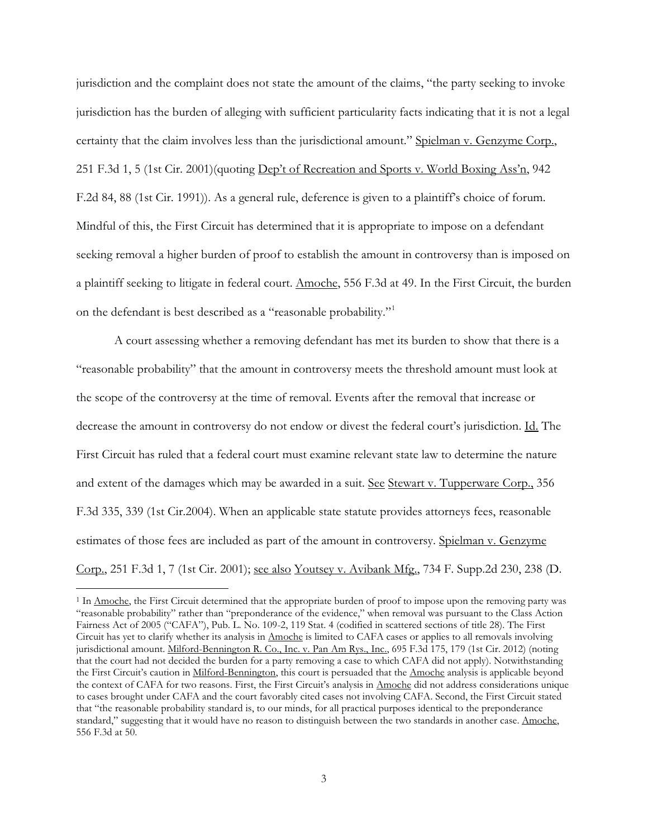jurisdiction and the complaint does not state the amount of the claims, "the party seeking to invoke jurisdiction has the burden of alleging with sufficient particularity facts indicating that it is not a legal certainty that the claim involves less than the jurisdictional amount." Spielman v. Genzyme Corp., 251 F.3d 1, 5 (1st Cir. 2001)(quoting Dep't of Recreation and Sports v. World Boxing Ass'n, 942 F.2d 84, 88 (1st Cir. 1991)). As a general rule, deference is given to a plaintiff's choice of forum. Mindful of this, the First Circuit has determined that it is appropriate to impose on a defendant seeking removal a higher burden of proof to establish the amount in controversy than is imposed on a plaintiff seeking to litigate in federal court. Amoche, 556 F.3d at 49. In the First Circuit, the burden on the defendant is best described as a "reasonable probability."<sup>1</sup>

 A court assessing whether a removing defendant has met its burden to show that there is a "reasonable probability" that the amount in controversy meets the threshold amount must look at the scope of the controversy at the time of removal. Events after the removal that increase or decrease the amount in controversy do not endow or divest the federal court's jurisdiction. Id. The First Circuit has ruled that a federal court must examine relevant state law to determine the nature and extent of the damages which may be awarded in a suit. See Stewart v. Tupperware Corp., 356 F.3d 335, 339 (1st Cir.2004). When an applicable state statute provides attorneys fees, reasonable estimates of those fees are included as part of the amount in controversy. Spielman v. Genzyme Corp., 251 F.3d 1, 7 (1st Cir. 2001); see also Youtsey v. Avibank Mfg., 734 F. Supp.2d 230, 238 (D.

 $\overline{a}$ 

<sup>&</sup>lt;sup>1</sup> In <u>Amoche</u>, the First Circuit determined that the appropriate burden of proof to impose upon the removing party was "reasonable probability" rather than "preponderance of the evidence," when removal was pursuant to the Class Action Fairness Act of 2005 ("CAFA"), Pub. L. No. 109-2, 119 Stat. 4 (codified in scattered sections of title 28). The First Circuit has yet to clarify whether its analysis in Amoche is limited to CAFA cases or applies to all removals involving jurisdictional amount. Milford-Bennington R. Co., Inc. v. Pan Am Rys., Inc., 695 F.3d 175, 179 (1st Cir. 2012) (noting that the court had not decided the burden for a party removing a case to which CAFA did not apply). Notwithstanding the First Circuit's caution in Milford-Bennington, this court is persuaded that the Amoche analysis is applicable beyond the context of CAFA for two reasons. First, the First Circuit's analysis in Amoche did not address considerations unique to cases brought under CAFA and the court favorably cited cases not involving CAFA. Second, the First Circuit stated that "the reasonable probability standard is, to our minds, for all practical purposes identical to the preponderance standard," suggesting that it would have no reason to distinguish between the two standards in another case. Amoche, 556 F.3d at 50.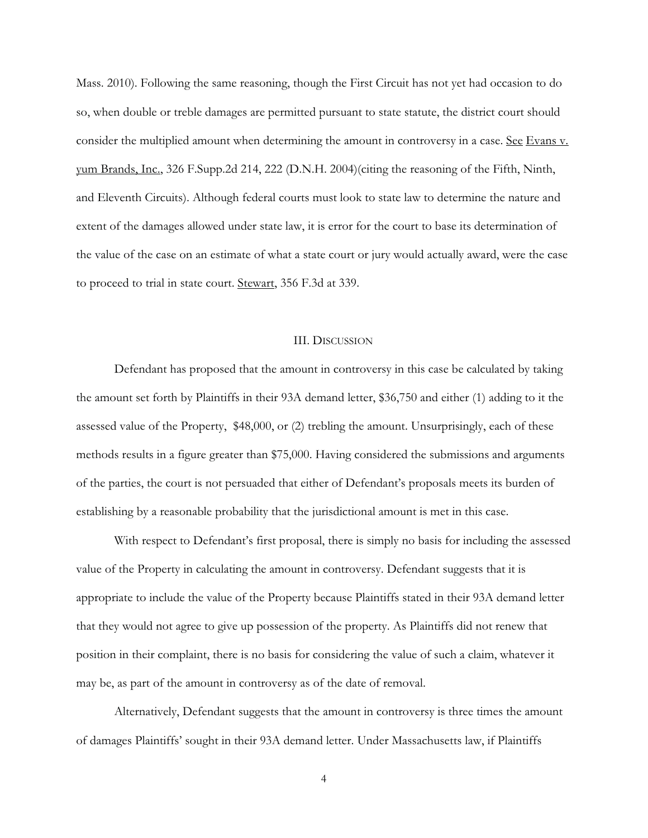Mass. 2010). Following the same reasoning, though the First Circuit has not yet had occasion to do so, when double or treble damages are permitted pursuant to state statute, the district court should consider the multiplied amount when determining the amount in controversy in a case. See Evans v. yum Brands, Inc., 326 F.Supp.2d 214, 222 (D.N.H. 2004)(citing the reasoning of the Fifth, Ninth, and Eleventh Circuits). Although federal courts must look to state law to determine the nature and extent of the damages allowed under state law, it is error for the court to base its determination of the value of the case on an estimate of what a state court or jury would actually award, were the case to proceed to trial in state court. Stewart, 356 F.3d at 339.

#### III. DISCUSSION

 Defendant has proposed that the amount in controversy in this case be calculated by taking the amount set forth by Plaintiffs in their 93A demand letter, \$36,750 and either (1) adding to it the assessed value of the Property, \$48,000, or (2) trebling the amount. Unsurprisingly, each of these methods results in a figure greater than \$75,000. Having considered the submissions and arguments of the parties, the court is not persuaded that either of Defendant's proposals meets its burden of establishing by a reasonable probability that the jurisdictional amount is met in this case.

 With respect to Defendant's first proposal, there is simply no basis for including the assessed value of the Property in calculating the amount in controversy. Defendant suggests that it is appropriate to include the value of the Property because Plaintiffs stated in their 93A demand letter that they would not agree to give up possession of the property. As Plaintiffs did not renew that position in their complaint, there is no basis for considering the value of such a claim, whatever it may be, as part of the amount in controversy as of the date of removal.

 Alternatively, Defendant suggests that the amount in controversy is three times the amount of damages Plaintiffs' sought in their 93A demand letter. Under Massachusetts law, if Plaintiffs

4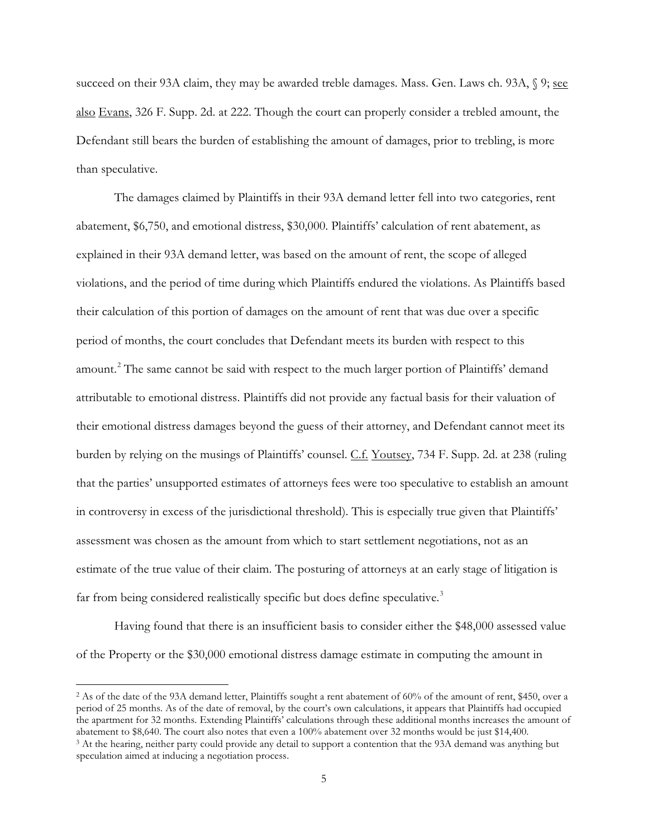succeed on their 93A claim, they may be awarded treble damages. Mass. Gen. Laws ch. 93A,  $\sqrt{9}$ ; see also Evans, 326 F. Supp. 2d. at 222. Though the court can properly consider a trebled amount, the Defendant still bears the burden of establishing the amount of damages, prior to trebling, is more than speculative.

 The damages claimed by Plaintiffs in their 93A demand letter fell into two categories, rent abatement, \$6,750, and emotional distress, \$30,000. Plaintiffs' calculation of rent abatement, as explained in their 93A demand letter, was based on the amount of rent, the scope of alleged violations, and the period of time during which Plaintiffs endured the violations. As Plaintiffs based their calculation of this portion of damages on the amount of rent that was due over a specific period of months, the court concludes that Defendant meets its burden with respect to this amount.<sup>2</sup> The same cannot be said with respect to the much larger portion of Plaintiffs' demand attributable to emotional distress. Plaintiffs did not provide any factual basis for their valuation of their emotional distress damages beyond the guess of their attorney, and Defendant cannot meet its burden by relying on the musings of Plaintiffs' counsel. C.f. Youtsey, 734 F. Supp. 2d. at 238 (ruling that the parties' unsupported estimates of attorneys fees were too speculative to establish an amount in controversy in excess of the jurisdictional threshold). This is especially true given that Plaintiffs' assessment was chosen as the amount from which to start settlement negotiations, not as an estimate of the true value of their claim. The posturing of attorneys at an early stage of litigation is far from being considered realistically specific but does define speculative.<sup>3</sup>

 Having found that there is an insufficient basis to consider either the \$48,000 assessed value of the Property or the \$30,000 emotional distress damage estimate in computing the amount in

l

<sup>2</sup> As of the date of the 93A demand letter, Plaintiffs sought a rent abatement of 60% of the amount of rent, \$450, over a period of 25 months. As of the date of removal, by the court's own calculations, it appears that Plaintiffs had occupied the apartment for 32 months. Extending Plaintiffs' calculations through these additional months increases the amount of abatement to \$8,640. The court also notes that even a 100% abatement over 32 months would be just \$14,400. 3 At the hearing, neither party could provide any detail to support a contention that the 93A demand was anything but speculation aimed at inducing a negotiation process.